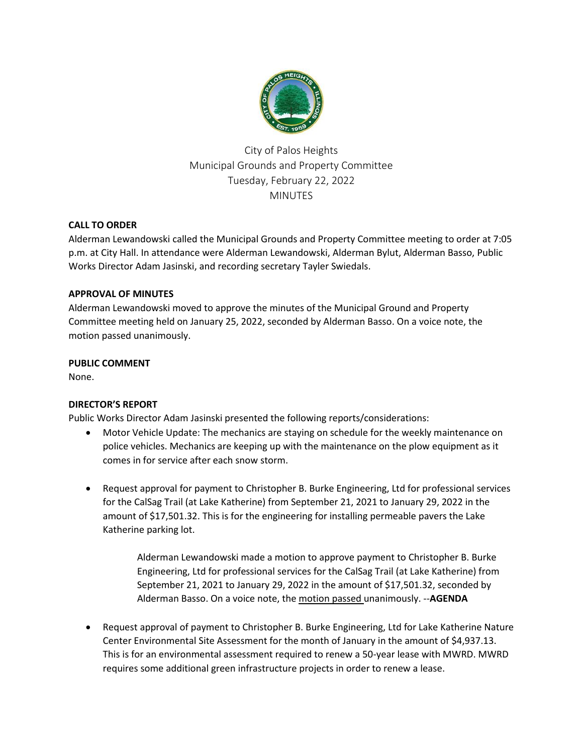

City of Palos Heights Municipal Grounds and Property Committee Tuesday, February 22, 2022 MINUTES

# **CALL TO ORDER**

Alderman Lewandowski called the Municipal Grounds and Property Committee meeting to order at 7:05 p.m. at City Hall. In attendance were Alderman Lewandowski, Alderman Bylut, Alderman Basso, Public Works Director Adam Jasinski, and recording secretary Tayler Swiedals.

## **APPROVAL OF MINUTES**

Alderman Lewandowski moved to approve the minutes of the Municipal Ground and Property Committee meeting held on January 25, 2022, seconded by Alderman Basso. On a voice note, the motion passed unanimously.

## **PUBLIC COMMENT**

None.

## **DIRECTOR'S REPORT**

Public Works Director Adam Jasinski presented the following reports/considerations:

- Motor Vehicle Update: The mechanics are staying on schedule for the weekly maintenance on police vehicles. Mechanics are keeping up with the maintenance on the plow equipment as it comes in for service after each snow storm.
- Request approval for payment to Christopher B. Burke Engineering, Ltd for professional services for the CalSag Trail (at Lake Katherine) from September 21, 2021 to January 29, 2022 in the amount of \$17,501.32. This is for the engineering for installing permeable pavers the Lake Katherine parking lot.

Alderman Lewandowski made a motion to approve payment to Christopher B. Burke Engineering, Ltd for professional services for the CalSag Trail (at Lake Katherine) from September 21, 2021 to January 29, 2022 in the amount of \$17,501.32, seconded by Alderman Basso. On a voice note, the motion passed unanimously. --**AGENDA**

 Request approval of payment to Christopher B. Burke Engineering, Ltd for Lake Katherine Nature Center Environmental Site Assessment for the month of January in the amount of \$4,937.13. This is for an environmental assessment required to renew a 50-year lease with MWRD. MWRD requires some additional green infrastructure projects in order to renew a lease.